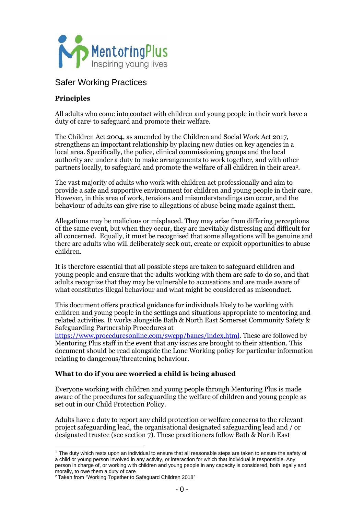

# Safer Working Practices

# **Principles**

All adults who come into contact with children and young people in their work have a duty of care<sup>1</sup> to safeguard and promote their welfare.

The Children Act 2004, as amended by the Children and Social Work Act 2017, strengthens an important relationship by placing new duties on key agencies in a local area. Specifically, the police, clinical commissioning groups and the local authority are under a duty to make arrangements to work together, and with other partners locally, to safeguard and promote the welfare of all children in their area<sup>2</sup>.

The vast majority of adults who work with children act professionally and aim to provide a safe and supportive environment for children and young people in their care. However, in this area of work, tensions and misunderstandings can occur, and the behaviour of adults can give rise to allegations of abuse being made against them.

Allegations may be malicious or misplaced. They may arise from differing perceptions of the same event, but when they occur, they are inevitably distressing and difficult for all concerned. Equally, it must be recognised that some allegations will be genuine and there are adults who will deliberately seek out, create or exploit opportunities to abuse children.

It is therefore essential that all possible steps are taken to safeguard children and young people and ensure that the adults working with them are safe to do so, and that adults recognize that they may be vulnerable to accusations and are made aware of what constitutes illegal behaviour and what might be considered as misconduct.

This document offers practical guidance for individuals likely to be working with children and young people in the settings and situations appropriate to mentoring and related activities. It works alongside Bath & North East Somerset Community Safety & Safeguarding Partnership Procedures at

[https://www.proceduresonline.com/swcpp/banes/index.html.](https://www.proceduresonline.com/swcpp/banes/index.html) These are followed by Mentoring Plus staff in the event that any issues are brought to their attention. This document should be read alongside the Lone Working policy for particular information relating to dangerous/threatening behaviour.

# **What to do if you are worried a child is being abused**

Everyone working with children and young people through Mentoring Plus is made aware of the procedures for safeguarding the welfare of children and young people as set out in our Child Protection Policy.

Adults have a duty to report any child protection or welfare concerns to the relevant project safeguarding lead, the organisational designated safeguarding lead and / or designated trustee (see section 7). These practitioners follow Bath & North East

 $1$  The duty which rests upon an individual to ensure that all reasonable steps are taken to ensure the safety of a child or young person involved in any activity, or interaction for which that individual is responsible. Any person in charge of, or working with children and young people in any capacity is considered, both legally and morally, to owe them a duty of care

<sup>2</sup> Taken from "Working Together to Safeguard Children 2018"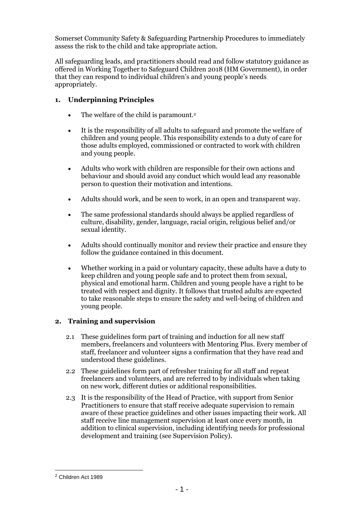Somerset Community Safety & Safeguarding Partnership Procedures to immediately assess the risk to the child and take appropriate action.

All safeguarding leads, and practitioners should read and follow statutory guidance as offered in Working Together to Safeguard Children 2018 (HM Government), in order that they can respond to individual children's and young people's needs appropriately.

# **1. Underpinning Principles**

- The welfare of the child is paramount.<sup>2</sup>
- It is the responsibility of all adults to safeguard and promote the welfare of children and young people. This responsibility extends to a duty of care for those adults employed, commissioned or contracted to work with children and young people.
- Adults who work with children are responsible for their own actions and behaviour and should avoid any conduct which would lead any reasonable person to question their motivation and intentions.
- Adults should work, and be seen to work, in an open and transparent way.
- The same professional standards should always be applied regardless of culture, disability, gender, language, racial origin, religious belief and/or sexual identity.
- Adults should continually monitor and review their practice and ensure they follow the guidance contained in this document.
- Whether working in a paid or voluntary capacity, these adults have a duty to keep children and young people safe and to protect them from sexual, physical and emotional harm. Children and young people have a right to be treated with respect and dignity. It follows that trusted adults are expected to take reasonable steps to ensure the safety and well-being of children and young people.

# **2. Training and supervision**

- 2.1 These guidelines form part of training and induction for all new staff members, freelancers and volunteers with Mentoring Plus. Every member of staff, freelancer and volunteer signs a confirmation that they have read and understood these guidelines.
- 2.2 These guidelines form part of refresher training for all staff and repeat freelancers and volunteers, and are referred to by individuals when taking on new work, different duties or additional responsibilities.
- 2.3 It is the responsibility of the Head of Practice, with support from Senior Practitioners to ensure that staff receive adequate supervision to remain aware of these practice guidelines and other issues impacting their work. All staff receive line management supervision at least once every month, in addition to clinical supervision, including identifying needs for professional development and training (see Supervision Policy).

<sup>2</sup> Children Act 1989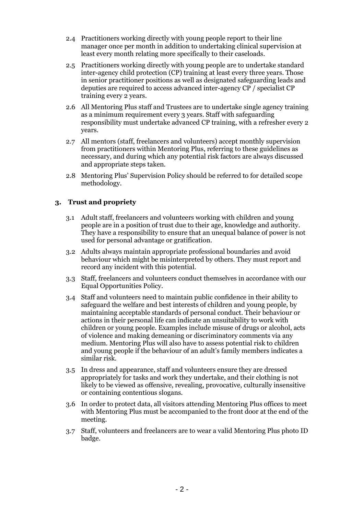- 2.4 Practitioners working directly with young people report to their line manager once per month in addition to undertaking clinical supervision at least every month relating more specifically to their caseloads.
- 2.5 Practitioners working directly with young people are to undertake standard inter-agency child protection (CP) training at least every three years. Those in senior practitioner positions as well as designated safeguarding leads and deputies are required to access advanced inter-agency CP / specialist CP training every 2 years.
- 2.6 All Mentoring Plus staff and Trustees are to undertake single agency training as a minimum requirement every 3 years. Staff with safeguarding responsibility must undertake advanced CP training, with a refresher every 2 years.
- 2.7 All mentors (staff, freelancers and volunteers) accept monthly supervision from practitioners within Mentoring Plus, referring to these guidelines as necessary, and during which any potential risk factors are always discussed and appropriate steps taken.
- 2.8 Mentoring Plus' Supervision Policy should be referred to for detailed scope methodology.

# **3. Trust and propriety**

- 3.1 Adult staff, freelancers and volunteers working with children and young people are in a position of trust due to their age, knowledge and authority. They have a responsibility to ensure that an unequal balance of power is not used for personal advantage or gratification.
- 3.2 Adults always maintain appropriate professional boundaries and avoid behaviour which might be misinterpreted by others. They must report and record any incident with this potential.
- 3.3 Staff, freelancers and volunteers conduct themselves in accordance with our Equal Opportunities Policy.
- 3.4 Staff and volunteers need to maintain public confidence in their ability to safeguard the welfare and best interests of children and young people, by maintaining acceptable standards of personal conduct. Their behaviour or actions in their personal life can indicate an unsuitability to work with children or young people. Examples include misuse of drugs or alcohol, acts of violence and making demeaning or discriminatory comments via any medium. Mentoring Plus will also have to assess potential risk to children and young people if the behaviour of an adult's family members indicates a similar risk.
- 3.5 In dress and appearance, staff and volunteers ensure they are dressed appropriately for tasks and work they undertake, and their clothing is not likely to be viewed as offensive, revealing, provocative, culturally insensitive or containing contentious slogans.
- 3.6 In order to protect data, all visitors attending Mentoring Plus offices to meet with Mentoring Plus must be accompanied to the front door at the end of the meeting.
- 3.7 Staff, volunteers and freelancers are to wear a valid Mentoring Plus photo ID badge.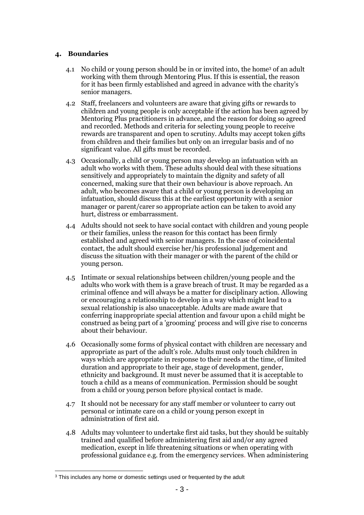# **4. Boundaries**

- 4.1 No child or young person should be in or invited into, the home<sup>3</sup> of an adult working with them through Mentoring Plus. If this is essential, the reason for it has been firmly established and agreed in advance with the charity's senior managers.
- 4.2 Staff, freelancers and volunteers are aware that giving gifts or rewards to children and young people is only acceptable if the action has been agreed by Mentoring Plus practitioners in advance, and the reason for doing so agreed and recorded. Methods and criteria for selecting young people to receive rewards are transparent and open to scrutiny. Adults may accept token gifts from children and their families but only on an irregular basis and of no significant value. All gifts must be recorded.
- 4.3 Occasionally, a child or young person may develop an infatuation with an adult who works with them. These adults should deal with these situations sensitively and appropriately to maintain the dignity and safety of all concerned, making sure that their own behaviour is above reproach. An adult, who becomes aware that a child or young person is developing an infatuation, should discuss this at the earliest opportunity with a senior manager or parent/carer so appropriate action can be taken to avoid any hurt, distress or embarrassment.
- 4.4 Adults should not seek to have social contact with children and young people or their families, unless the reason for this contact has been firmly established and agreed with senior managers. In the case of coincidental contact, the adult should exercise her/his professional judgement and discuss the situation with their manager or with the parent of the child or young person.
- 4.5 Intimate or sexual relationships between children/young people and the adults who work with them is a grave breach of trust. It may be regarded as a criminal offence and will always be a matter for disciplinary action. Allowing or encouraging a relationship to develop in a way which might lead to a sexual relationship is also unacceptable. Adults are made aware that conferring inappropriate special attention and favour upon a child might be construed as being part of a 'grooming' process and will give rise to concerns about their behaviour.
- 4.6 Occasionally some forms of physical contact with children are necessary and appropriate as part of the adult's role. Adults must only touch children in ways which are appropriate in response to their needs at the time, of limited duration and appropriate to their age, stage of development, gender, ethnicity and background. It must never be assumed that it is acceptable to touch a child as a means of communication. Permission should be sought from a child or young person before physical contact is made.
- 4.7 It should not be necessary for any staff member or volunteer to carry out personal or intimate care on a child or young person except in administration of first aid.
- 4.8 Adults may volunteer to undertake first aid tasks, but they should be suitably trained and qualified before administering first aid and/or any agreed medication, except in life threatening situations or when operating with professional guidance e.g. from the emergency services. When administering

<sup>&</sup>lt;sup>3</sup> This includes any home or domestic settings used or frequented by the adult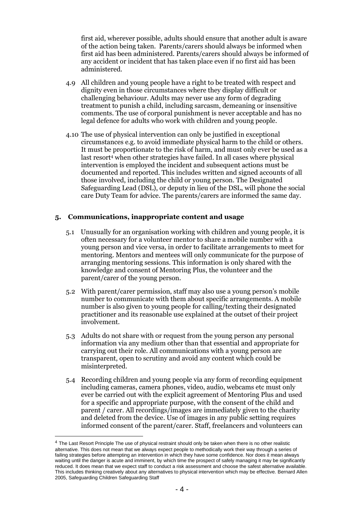first aid, wherever possible, adults should ensure that another adult is aware of the action being taken. Parents/carers should always be informed when first aid has been administered. Parents/carers should always be informed of any accident or incident that has taken place even if no first aid has been administered.

- 4.9 All children and young people have a right to be treated with respect and dignity even in those circumstances where they display difficult or challenging behaviour. Adults may never use any form of degrading treatment to punish a child, including sarcasm, demeaning or insensitive comments. The use of corporal punishment is never acceptable and has no legal defence for adults who work with children and young people.
- 4.10 The use of physical intervention can only be justified in exceptional circumstances e.g. to avoid immediate physical harm to the child or others. It must be proportionate to the risk of harm, and must only ever be used as a last resort<sup>4</sup> when other strategies have failed. In all cases where physical intervention is employed the incident and subsequent actions must be documented and reported. This includes written and signed accounts of all those involved, including the child or young person. The Designated Safeguarding Lead (DSL), or deputy in lieu of the DSL, will phone the social care Duty Team for advice. The parents/carers are informed the same day.

#### **5. Communications, inappropriate content and usage**

- 5.1 Unusually for an organisation working with children and young people, it is often necessary for a volunteer mentor to share a mobile number with a young person and vice versa, in order to facilitate arrangements to meet for mentoring. Mentors and mentees will only communicate for the purpose of arranging mentoring sessions. This information is only shared with the knowledge and consent of Mentoring Plus, the volunteer and the parent/carer of the young person.
- 5.2 With parent/carer permission, staff may also use a young person's mobile number to communicate with them about specific arrangements. A mobile number is also given to young people for calling/texting their designated practitioner and its reasonable use explained at the outset of their project involvement.
- 5.3 Adults do not share with or request from the young person any personal information via any medium other than that essential and appropriate for carrying out their role. All communications with a young person are transparent, open to scrutiny and avoid any content which could be misinterpreted.
- 5.4 Recording children and young people via any form of recording equipment including cameras, camera phones, video, audio, webcams etc must only ever be carried out with the explicit agreement of Mentoring Plus and used for a specific and appropriate purpose, with the consent of the child and parent / carer. All recordings/images are immediately given to the charity and deleted from the device. Use of images in any public setting requires informed consent of the parent/carer. Staff, freelancers and volunteers can

<sup>4</sup> The Last Resort Principle The use of physical restraint should only be taken when there is no other realistic alternative. This does not mean that we always expect people to methodically work their way through a series of failing strategies before attempting an intervention in which they have some confidence. Nor does it mean always waiting until the danger is acute and imminent, by which time the prospect of safely managing it may be significantly reduced. It does mean that we expect staff to conduct a risk assessment and choose the safest alternative available. This includes thinking creatively about any alternatives to physical intervention which may be effective. Bernard Allen 2005, Safeguarding Children Safeguarding Staff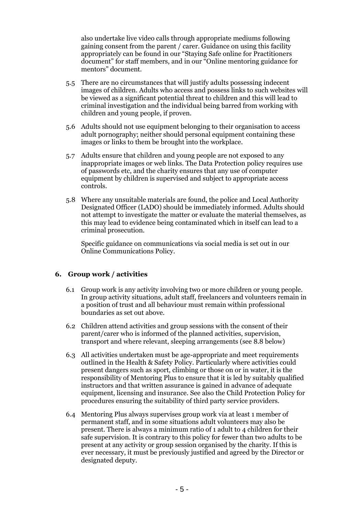also undertake live video calls through appropriate mediums following gaining consent from the parent / carer. Guidance on using this facility appropriately can be found in our "Staying Safe online for Practitioners document" for staff members, and in our "Online mentoring guidance for mentors" document.

- 5.5 There are no circumstances that will justify adults possessing indecent images of children. Adults who access and possess links to such websites will be viewed as a significant potential threat to children and this will lead to criminal investigation and the individual being barred from working with children and young people, if proven.
- 5.6 Adults should not use equipment belonging to their organisation to access adult pornography; neither should personal equipment containing these images or links to them be brought into the workplace.
- 5.7 Adults ensure that children and young people are not exposed to any inappropriate images or web links. The Data Protection policy requires use of passwords etc, and the charity ensures that any use of computer equipment by children is supervised and subject to appropriate access controls.
- 5.8 Where any unsuitable materials are found, the police and Local Authority Designated Officer (LADO) should be immediately informed. Adults should not attempt to investigate the matter or evaluate the material themselves, as this may lead to evidence being contaminated which in itself can lead to a criminal prosecution.

Specific guidance on communications via social media is set out in our Online Communications Policy.

#### **6. Group work / activities**

- 6.1 Group work is any activity involving two or more children or young people. In group activity situations, adult staff, freelancers and volunteers remain in a position of trust and all behaviour must remain within professional boundaries as set out above.
- 6.2 Children attend activities and group sessions with the consent of their parent/carer who is informed of the planned activities, supervision, transport and where relevant, sleeping arrangements (see 8.8 below)
- 6.3 All activities undertaken must be age-appropriate and meet requirements outlined in the Health & Safety Policy. Particularly where activities could present dangers such as sport, climbing or those on or in water, it is the responsibility of Mentoring Plus to ensure that it is led by suitably qualified instructors and that written assurance is gained in advance of adequate equipment, licensing and insurance. See also the Child Protection Policy for procedures ensuring the suitability of third party service providers.
- 6.4 Mentoring Plus always supervises group work via at least 1 member of permanent staff, and in some situations adult volunteers may also be present. There is always a minimum ratio of 1 adult to 4 children for their safe supervision. It is contrary to this policy for fewer than two adults to be present at any activity or group session organised by the charity. If this is ever necessary, it must be previously justified and agreed by the Director or designated deputy.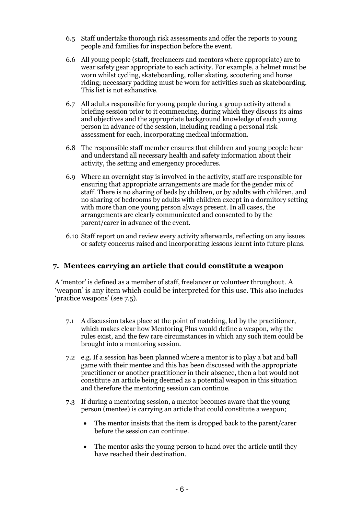- 6.5 Staff undertake thorough risk assessments and offer the reports to young people and families for inspection before the event.
- 6.6 All young people (staff, freelancers and mentors where appropriate) are to wear safety gear appropriate to each activity. For example, a helmet must be worn whilst cycling, skateboarding, roller skating, scootering and horse riding; necessary padding must be worn for activities such as skateboarding. This list is not exhaustive.
- 6.7 All adults responsible for young people during a group activity attend a briefing session prior to it commencing, during which they discuss its aims and objectives and the appropriate background knowledge of each young person in advance of the session, including reading a personal risk assessment for each, incorporating medical information.
- 6.8 The responsible staff member ensures that children and young people hear and understand all necessary health and safety information about their activity, the setting and emergency procedures.
- 6.9 Where an overnight stay is involved in the activity, staff are responsible for ensuring that appropriate arrangements are made for the gender mix of staff. There is no sharing of beds by children, or by adults with children, and no sharing of bedrooms by adults with children except in a dormitory setting with more than one young person always present. In all cases, the arrangements are clearly communicated and consented to by the parent/carer in advance of the event.
- 6.10 Staff report on and review every activity afterwards, reflecting on any issues or safety concerns raised and incorporating lessons learnt into future plans.

# **7. Mentees carrying an article that could constitute a weapon**

A 'mentor' is defined as a member of staff, freelancer or volunteer throughout. A 'weapon' is any item which could be interpreted for this use. This also includes 'practice weapons' (see 7.5).

- 7.1 A discussion takes place at the point of matching, led by the practitioner, which makes clear how Mentoring Plus would define a weapon, why the rules exist, and the few rare circumstances in which any such item could be brought into a mentoring session.
- 7.2 e.g. If a session has been planned where a mentor is to play a bat and ball game with their mentee and this has been discussed with the appropriate practitioner or another practitioner in their absence, then a bat would not constitute an article being deemed as a potential weapon in this situation and therefore the mentoring session can continue.
- 7.3 If during a mentoring session, a mentor becomes aware that the young person (mentee) is carrying an article that could constitute a weapon;
	- The mentor insists that the item is dropped back to the parent/carer before the session can continue.
	- The mentor asks the young person to hand over the article until they have reached their destination.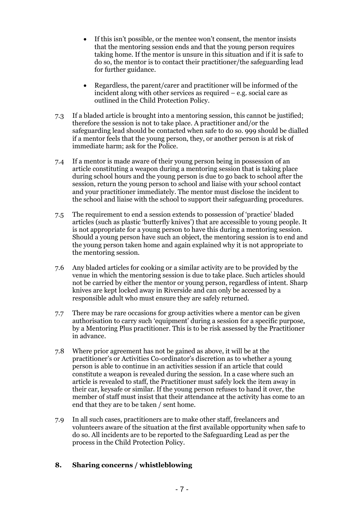- If this isn't possible, or the mentee won't consent, the mentor insists that the mentoring session ends and that the young person requires taking home. If the mentor is unsure in this situation and if it is safe to do so, the mentor is to contact their practitioner/the safeguarding lead for further guidance.
- Regardless, the parent/carer and practitioner will be informed of the incident along with other services as required – e.g. social care as outlined in the Child Protection Policy.
- 7.3 If a bladed article is brought into a mentoring session, this cannot be justified; therefore the session is not to take place. A practitioner and/or the safeguarding lead should be contacted when safe to do so. 999 should be dialled if a mentor feels that the young person, they, or another person is at risk of immediate harm; ask for the Police.
- 7.4 If a mentor is made aware of their young person being in possession of an article constituting a weapon during a mentoring session that is taking place during school hours and the young person is due to go back to school after the session, return the young person to school and liaise with your school contact and your practitioner immediately. The mentor must disclose the incident to the school and liaise with the school to support their safeguarding procedures.
- 7.5 The requirement to end a session extends to possession of 'practice' bladed articles (such as plastic 'butterfly knives') that are accessible to young people. It is not appropriate for a young person to have this during a mentoring session. Should a young person have such an object, the mentoring session is to end and the young person taken home and again explained why it is not appropriate to the mentoring session.
- 7.6 Any bladed articles for cooking or a similar activity are to be provided by the venue in which the mentoring session is due to take place. Such articles should not be carried by either the mentor or young person, regardless of intent. Sharp knives are kept locked away in Riverside and can only be accessed by a responsible adult who must ensure they are safely returned.
- 7.7 There may be rare occasions for group activities where a mentor can be given authorisation to carry such 'equipment' during a session for a specific purpose, by a Mentoring Plus practitioner. This is to be risk assessed by the Practitioner in advance.
- 7.8 Where prior agreement has not be gained as above, it will be at the practitioner's or Activities Co-ordinator's discretion as to whether a young person is able to continue in an activities session if an article that could constitute a weapon is revealed during the session. In a case where such an article is revealed to staff, the Practitioner must safely lock the item away in their car, keysafe or similar. If the young person refuses to hand it over, the member of staff must insist that their attendance at the activity has come to an end that they are to be taken / sent home.
- 7.9 In all such cases, practitioners are to make other staff, freelancers and volunteers aware of the situation at the first available opportunity when safe to do so. All incidents are to be reported to the Safeguarding Lead as per the process in the Child Protection Policy.

# **8. Sharing concerns / whistleblowing**